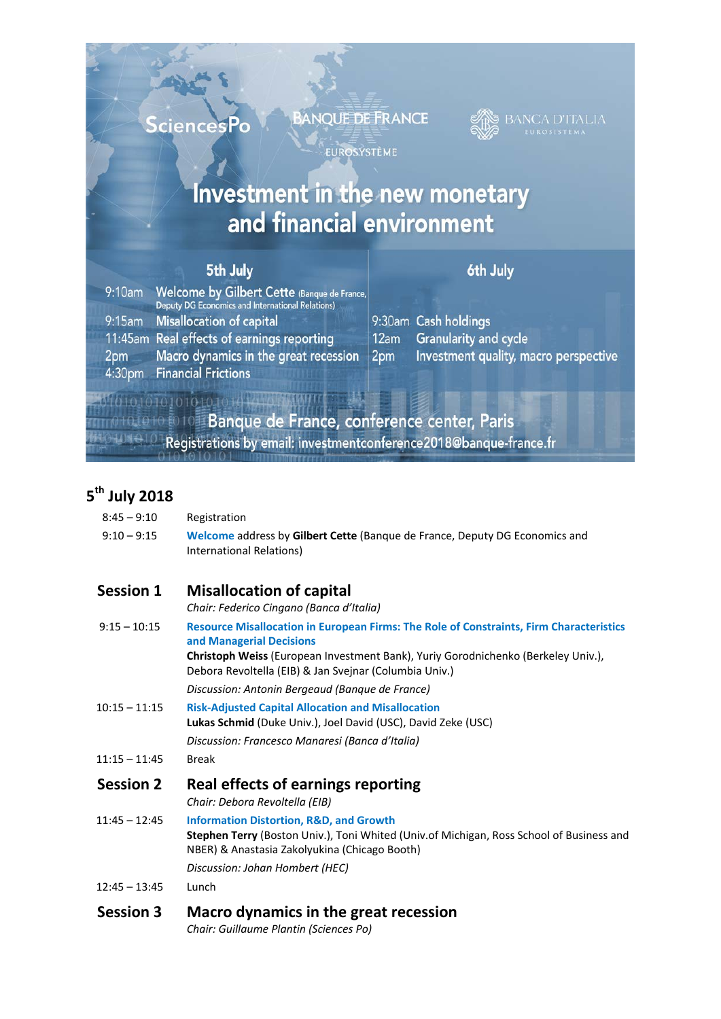**SciencesPo** 

**BANQUE DE FRANCE** 

EUROSYSTÈME



## Investment in the new monetary and financial environment

## 5th July

## 6th July

cle

, macro perspective

| $9:10$ am       | Welcome by Gilbert Cette (Banque de France,<br>Deputy DG Economics and International Relations) |                 |                           |
|-----------------|-------------------------------------------------------------------------------------------------|-----------------|---------------------------|
|                 | 9:15am Misallocation of capital                                                                 |                 | 9:30am Cash holdings      |
|                 | 11:45am Real effects of earnings reporting                                                      | 12am            | <b>Granularity and cy</b> |
| 2 <sub>pm</sub> | Macro dynamics in the great recession                                                           | 2 <sub>pm</sub> | Investment quality        |
|                 | 4:30pm Financial Frictions                                                                      |                 |                           |
|                 |                                                                                                 |                 |                           |

**Banque de France, conference center, Paris** Registrations by email: investment conference 2018@banque-france.fr

## **5th July 2018**

| $8:45 - 9:10$    | Registration                                                                                                                                                                                    |
|------------------|-------------------------------------------------------------------------------------------------------------------------------------------------------------------------------------------------|
| $9:10 - 9:15$    | Welcome address by Gilbert Cette (Banque de France, Deputy DG Economics and<br>International Relations)                                                                                         |
| <b>Session 1</b> | <b>Misallocation of capital</b>                                                                                                                                                                 |
|                  | Chair: Federico Cingano (Banca d'Italia)                                                                                                                                                        |
| $9:15 - 10:15$   | <b>Resource Misallocation in European Firms: The Role of Constraints, Firm Characteristics</b><br>and Managerial Decisions                                                                      |
|                  | Christoph Weiss (European Investment Bank), Yuriy Gorodnichenko (Berkeley Univ.),<br>Debora Revoltella (EIB) & Jan Svejnar (Columbia Univ.)                                                     |
|                  | Discussion: Antonin Bergeaud (Bangue de France)                                                                                                                                                 |
| $10:15 - 11:15$  | <b>Risk-Adjusted Capital Allocation and Misallocation</b><br>Lukas Schmid (Duke Univ.), Joel David (USC), David Zeke (USC)                                                                      |
|                  | Discussion: Francesco Manaresi (Banca d'Italia)                                                                                                                                                 |
| $11:15 - 11:45$  | <b>Break</b>                                                                                                                                                                                    |
| <b>Session 2</b> | Real effects of earnings reporting<br>Chair: Debora Revoltella (EIB)                                                                                                                            |
| $11:45 - 12:45$  | <b>Information Distortion, R&amp;D, and Growth</b><br>Stephen Terry (Boston Univ.), Toni Whited (Univ.of Michigan, Ross School of Business and<br>NBER) & Anastasia Zakolyukina (Chicago Booth) |
|                  | Discussion: Johan Hombert (HEC)                                                                                                                                                                 |
| $12:45 - 13:45$  | Lunch                                                                                                                                                                                           |
| <b>Session 3</b> | Macro dynamics in the great recession<br>Chair: Guillaume Plantin (Sciences Po)                                                                                                                 |